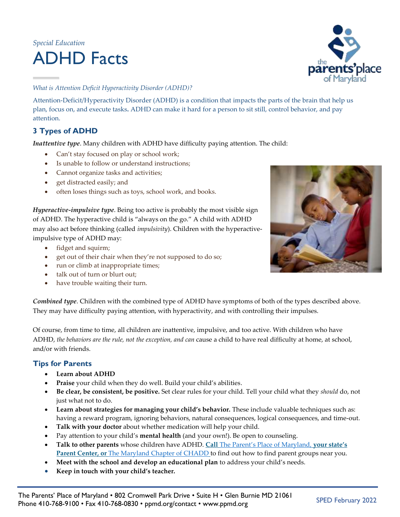# *Special Education* ADHD Facts



## *What is Attention Deficit Hyperactivity Disorder (ADHD)?*

Attention-Deficit/Hyperactivity Disorder (ADHD) is a condition that impacts the parts of the brain that help us plan, focus on, and execute tasks**.** ADHD can make it hard for a person to sit still, control behavior, and pay attention.

# **3 Types of ADHD**

*Inattentive type*. Many children with ADHD have difficulty paying attention. The child:

- Can't stay focused on play or school work;
- Is unable to follow or understand instructions;
- Cannot organize tasks and activities;
- get distracted easily; and
- often loses things such as toys, school work, and books.

*Hyperactive-impulsive type*. Being too active is probably the most visible sign of ADHD. The hyperactive child is "always on the go." A child with ADHD may also act before thinking (called *impulsivity*). Children with the hyperactiveimpulsive type of ADHD may:

- fidget and squirm;
- get out of their chair when they're not supposed to do so;
- run or climb at inappropriate times;
- talk out of turn or blurt out;
- have trouble waiting their turn.



Of course, from time to time, all children are inattentive, impulsive, and too active. With children who have ADHD, *the behaviors are the rule, not the exception, and can* cause a child to have real difficulty at home, at school, and/or with friends.

# **Tips for Parents**

- **Learn about ADHD**
- **Praise** your child when they do well. Build your child's abilities.
- **Be clear, be consistent, be positive.** Set clear rules for your child. Tell your child what they *should* do, not just what not to do.
- **Learn about strategies for managing your child's behavior.** These include valuable techniques such as: having a reward program, ignoring behaviors, natural consequences, logical consequences, and time-out.
- **Talk with your doctor** about whether medication will help your child.
- Pay attention to your child's **mental health** (and your own!). Be open to counseling.
- **Talk to other parents** whose children have ADHD. **Call** The Parent's Place of [Maryland,](https://www.ppmd.org/) **your state's Parent Center, or** The [Maryland](https://www.chadd-mc.org/support) Chapter of CHADD to find out how to find parent groups near you.
- **Meet with the school and develop an educational plan** to address your child's needs.
- **Keep in touch with your child's teacher.**